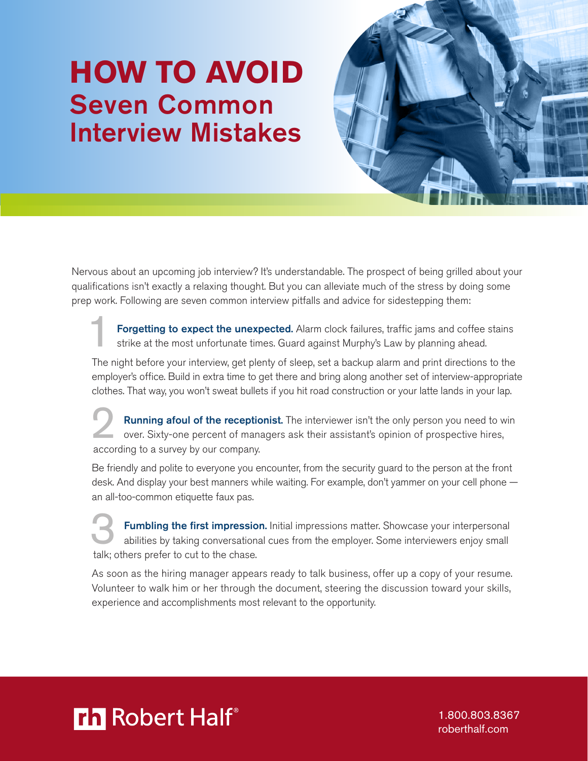## **HOW TO AVOID** Seven Common Interview Mistakes



Nervous about an upcoming job interview? It's understandable. The prospect of being grilled about your qualifications isn't exactly a relaxing thought. But you can alleviate much of the stress by doing some prep work. Following are seven common interview pitfalls and advice for sidestepping them:

Forgetting to expect the unexpected. Alarm clock failures, traffic jams and coffee stains strike at the most unfortunate times. Guard against Murphy's Law by planning ahead.

The night before your interview, get plenty of sleep, set a backup alarm and print directions to the employer's office. Build in extra time to get there and bring along another set of interview-appropriate clothes. That way, you won't sweat bullets if you hit road construction or your latte lands in your lap.

Running afoul of the receptionist. The interviewer isn't the only person you need to win over. Sixty-one percent of managers ask their assistant's opinion of prospective hires, according to a survey by our company.

Be friendly and polite to everyone you encounter, from the security guard to the person at the front desk. And display your best manners while waiting. For example, don't yammer on your cell phone an all-too-common etiquette faux pas.

**3** Fumbling the first impression. Initial impressions matter. Showcase your interpersonal abilities by taking conversational cues from the employer. Some interviewers enjoy small talk; others prefer to cut to the chase.

As soon as the hiring manager appears ready to talk business, offer up a copy of your resume. Volunteer to walk him or her through the document, steering the discussion toward your skills, experience and accomplishments most relevant to the opportunity.



1.800.803.8367 [roberthalf.com](http://www.roberthalf.com)